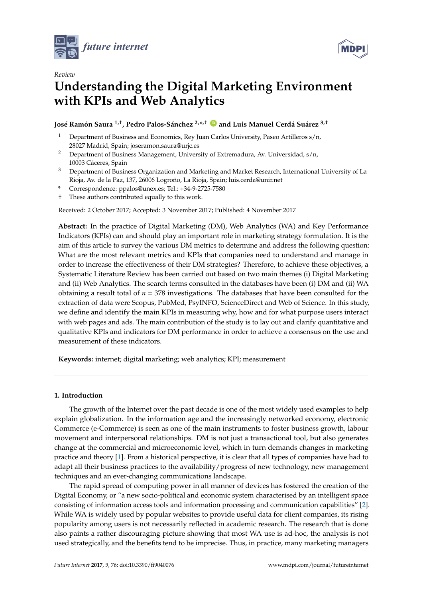



# *Review* **Understanding the Digital Marketing Environment with KPIs and Web Analytics**

**José Ramón Saura 1,†, Pedro Palos-Sánchez 2,\* ,† [ID](https://orcid.org/0000-0001-9966-0698) and Luis Manuel Cerdá Suárez 3,†**

- Department of Business and Economics, Rey Juan Carlos University, Paseo Artilleros s/n, 28027 Madrid, Spain; joseramon.saura@urjc.es
- <sup>2</sup> Department of Business Management, University of Extremadura, Av. Universidad, s/n, 10003 Cáceres, Spain
- <sup>3</sup> Department of Business Organization and Marketing and Market Research, International University of La Rioja, Av. de la Paz, 137, 26006 Logroño, La Rioja, Spain; luis.cerda@unir.net
- **\*** Correspondence: ppalos@unex.es; Tel.: +34-9-2725-7580
- † These authors contributed equally to this work.

Received: 2 October 2017; Accepted: 3 November 2017; Published: 4 November 2017

**Abstract:** In the practice of Digital Marketing (DM), Web Analytics (WA) and Key Performance Indicators (KPIs) can and should play an important role in marketing strategy formulation. It is the aim of this article to survey the various DM metrics to determine and address the following question: What are the most relevant metrics and KPIs that companies need to understand and manage in order to increase the effectiveness of their DM strategies? Therefore, to achieve these objectives, a Systematic Literature Review has been carried out based on two main themes (i) Digital Marketing and (ii) Web Analytics. The search terms consulted in the databases have been (i) DM and (ii) WA obtaining a result total of *n* = 378 investigations. The databases that have been consulted for the extraction of data were Scopus, PubMed, PsyINFO, ScienceDirect and Web of Science. In this study, we define and identify the main KPIs in measuring why, how and for what purpose users interact with web pages and ads. The main contribution of the study is to lay out and clarify quantitative and qualitative KPIs and indicators for DM performance in order to achieve a consensus on the use and measurement of these indicators.

**Keywords:** internet; digital marketing; web analytics; KPI; measurement

# **1. Introduction**

The growth of the Internet over the past decade is one of the most widely used examples to help explain globalization. In the information age and the increasingly networked economy, electronic Commerce (e-Commerce) is seen as one of the main instruments to foster business growth, labour movement and interpersonal relationships. DM is not just a transactional tool, but also generates change at the commercial and microeconomic level, which in turn demands changes in marketing practice and theory [\[1\]](#page-10-0). From a historical perspective, it is clear that all types of companies have had to adapt all their business practices to the availability/progress of new technology, new management techniques and an ever-changing communications landscape.

The rapid spread of computing power in all manner of devices has fostered the creation of the Digital Economy, or "a new socio-political and economic system characterised by an intelligent space consisting of information access tools and information processing and communication capabilities" [\[2\]](#page-10-1). While WA is widely used by popular websites to provide useful data for client companies, its rising popularity among users is not necessarily reflected in academic research. The research that is done also paints a rather discouraging picture showing that most WA use is ad-hoc, the analysis is not used strategically, and the benefits tend to be imprecise. Thus, in practice, many marketing managers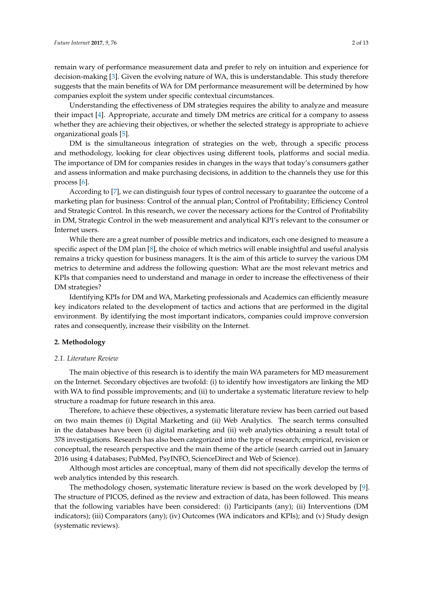remain wary of performance measurement data and prefer to rely on intuition and experience for decision-making [\[3\]](#page-10-2). Given the evolving nature of WA, this is understandable. This study therefore suggests that the main benefits of WA for DM performance measurement will be determined by how companies exploit the system under specific contextual circumstances.

Understanding the effectiveness of DM strategies requires the ability to analyze and measure their impact [\[4\]](#page-10-3). Appropriate, accurate and timely DM metrics are critical for a company to assess whether they are achieving their objectives, or whether the selected strategy is appropriate to achieve organizational goals [\[5\]](#page-10-4).

DM is the simultaneous integration of strategies on the web, through a specific process and methodology, looking for clear objectives using different tools, platforms and social media. The importance of DM for companies resides in changes in the ways that today's consumers gather and assess information and make purchasing decisions, in addition to the channels they use for this process [\[6\]](#page-10-5).

According to [\[7\]](#page-10-6), we can distinguish four types of control necessary to guarantee the outcome of a marketing plan for business: Control of the annual plan; Control of Profitability; Efficiency Control and Strategic Control. In this research, we cover the necessary actions for the Control of Profitability in DM, Strategic Control in the web measurement and analytical KPI's relevant to the consumer or Internet users.

While there are a great number of possible metrics and indicators, each one designed to measure a specific aspect of the DM plan [\[8\]](#page-10-7), the choice of which metrics will enable insightful and useful analysis remains a tricky question for business managers. It is the aim of this article to survey the various DM metrics to determine and address the following question: What are the most relevant metrics and KPIs that companies need to understand and manage in order to increase the effectiveness of their DM strategies?

Identifying KPIs for DM and WA, Marketing professionals and Academics can efficiently measure key indicators related to the development of tactics and actions that are performed in the digital environment. By identifying the most important indicators, companies could improve conversion rates and consequently, increase their visibility on the Internet.

#### **2. Methodology**

#### *2.1. Literature Review*

The main objective of this research is to identify the main WA parameters for MD measurement on the Internet. Secondary objectives are twofold: (i) to identify how investigators are linking the MD with WA to find possible improvements; and (ii) to undertake a systematic literature review to help structure a roadmap for future research in this area.

Therefore, to achieve these objectives, a systematic literature review has been carried out based on two main themes (i) Digital Marketing and (ii) Web Analytics. The search terms consulted in the databases have been (i) digital marketing and (ii) web analytics obtaining a result total of 378 investigations. Research has also been categorized into the type of research; empirical, revision or conceptual, the research perspective and the main theme of the article (search carried out in January 2016 using 4 databases; PubMed, PsyINFO, ScienceDirect and Web of Science).

Although most articles are conceptual, many of them did not specifically develop the terms of web analytics intended by this research.

The methodology chosen, systematic literature review is based on the work developed by [\[9\]](#page-10-8). The structure of PICOS, defined as the review and extraction of data, has been followed. This means that the following variables have been considered: (i) Participants (any); (ii) Interventions (DM indicators); (iii) Comparators (any); (iv) Outcomes (WA indicators and KPIs); and (v) Study design (systematic reviews).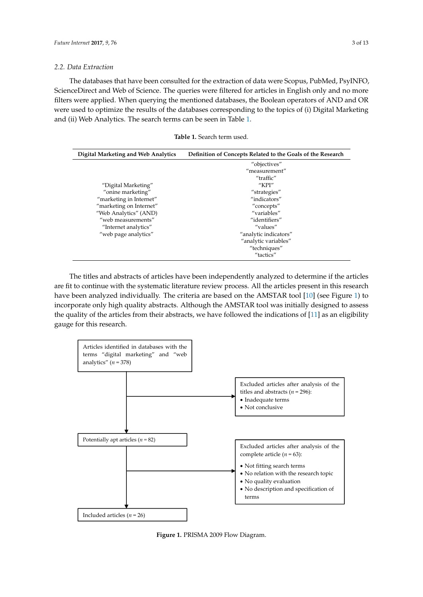# *2.2. Data Extraction*

The databases that have been consulted for the extraction of data were Scopus, PubMed, PsyINFO, ScienceDirect and Web of Science. The queries were filtered for articles in English only and no more Filters were applied. When querying the mentioned databases, the Boolean operators of AND and OR were used to optimize the results of the databases corresponding to the topics of (i) Digital Marketing and (ii) Web Analytics. The search terms can be seen in Table [1.](#page-2-0) Psychology Psychology Information and Web of Science of The Web of  $\frac{1}{2}$ 

**Table 1.** Search term used.

<span id="page-2-0"></span>

| <b>Digital Marketing and Web Analytics</b> | Definition of Concepts Related to the Goals of the Research |
|--------------------------------------------|-------------------------------------------------------------|
|                                            | "objectives"                                                |
|                                            | "measurement"                                               |
|                                            | "traffic"                                                   |
| "Digital Marketing"                        | " $KPI"$                                                    |
| "onine marketing"                          | "strategies"                                                |
| "marketing in Internet"                    | "indicators"                                                |
| "marketing on Internet"                    | "concepts"                                                  |
| "Web Analytics" (AND)                      | "variables"                                                 |
| "web measurements"                         | "identifiers"                                               |
| "Internet analytics"                       | "values"                                                    |
| "web page analytics"                       | "analytic indicators"                                       |
|                                            | "analytic variables"                                        |
|                                            | "techniques"                                                |
|                                            | "tactics"                                                   |

The titles and abstracts of articles have been independently analyzed to determine if the articles are fit to continue with the systematic literature review process. All the articles present in this research have been analyzed individually. The criteria are based on the AMSTAR tool [\[10\]](#page-10-9) (see Figure [1\)](#page-2-1) to incorporate only high quality abstracts. Although the AMSTAR tool was initially designed to assess have been analyzed individually. The criteria are based on the AMSTAR tool [10] (see Figure 1) to the quality of the articles from their abstracts, we have followed the indications of [\[11\]](#page-10-10) as an eligibility the quality of the articles from their abstracts, we have followed the indications of [11] as an eligibility gauge for this research. gauge for this research. incorporate only high quality abstracts. Although the AMSTAR tool was initially designed to assess

<span id="page-2-1"></span>

**Figure 1.** PRISMA 2009 Flow Diagram*.* **Figure 1.** PRISMA 2009 Flow Diagram.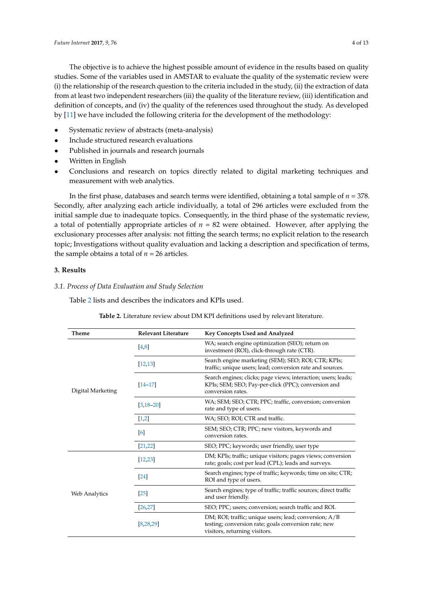The objective is to achieve the highest possible amount of evidence in the results based on quality studies. Some of the variables used in AMSTAR to evaluate the quality of the systematic review were (i) the relationship of the research question to the criteria included in the study, (ii) the extraction of data from at least two independent researchers (iii) the quality of the literature review, (iii) identification and definition of concepts, and (iv) the quality of the references used throughout the study. As developed by [\[11\]](#page-10-10) we have included the following criteria for the development of the methodology:

- Systematic review of abstracts (meta-analysis)
- Include structured research evaluations
- Published in journals and research journals
- Written in English
- Conclusions and research on topics directly related to digital marketing techniques and measurement with web analytics.

In the first phase, databases and search terms were identified, obtaining a total sample of *n* = 378. Secondly, after analyzing each article individually, a total of 296 articles were excluded from the initial sample due to inadequate topics. Consequently, in the third phase of the systematic review, a total of potentially appropriate articles of  $n = 82$  were obtained. However, after applying the exclusionary processes after analysis: not fitting the search terms; no explicit relation to the research topic; Investigations without quality evaluation and lacking a description and specification of terms, the sample obtains a total of  $n = 26$  articles.

# **3. Results**

# *3.1. Process of Data Evaluation and Study Selection*

<span id="page-3-0"></span>Table [2](#page-3-0) lists and describes the indicators and KPIs used.

| Theme             | <b>Relevant Literature</b> | Key Concepts Used and Analyzed                                                                                                                 |  |
|-------------------|----------------------------|------------------------------------------------------------------------------------------------------------------------------------------------|--|
|                   | [4,8]                      | WA; search engine optimization (SEO); return on<br>investment (ROI), click-through rate (CTR).                                                 |  |
| Digital Marketing | [12, 13]                   | Search engine marketing (SEM); SEO; ROI; CTR; KPIs;<br>traffic; unique users; lead; conversion rate and sources.                               |  |
|                   | $[14 - 17]$                | Search engines; clicks; page views; interaction; users; leads;<br>KPIs; SEM; SEO; Pay-per-click (PPC); conversion and<br>conversion rates.     |  |
|                   | $[3, 18 - 20]$             | WA; SEM; SEO; CTR; PPC; traffic, conversion; conversion<br>rate and type of users.                                                             |  |
|                   | [1,2]                      | WA; SEO; ROI; CTR and traffic.                                                                                                                 |  |
|                   | [6]                        | SEM; SEO; CTR; PPC; new visitors, keywords and<br>conversion rates.                                                                            |  |
| [21, 22]          |                            | SEO; PPC; keywords; user friendly, user type                                                                                                   |  |
|                   | [12, 23]                   | DM; KPIs; traffic; unique visitors; pages views; conversion<br>rate; goals; cost per lead (CPL); leads and surveys.                            |  |
| Web Analytics     | $[24]$                     | Search engines; type of traffic; keywords; time on site; CTR;<br>ROI and type of users.                                                        |  |
|                   | $[25]$                     | Search engines; type of traffic; traffic sources; direct traffic<br>and user friendly.                                                         |  |
|                   | [26, 27]                   | SEO; PPC; users; conversion; search traffic and ROI.                                                                                           |  |
|                   | [8, 28, 29]                | DM; ROI; traffic; unique users; lead; conversion; A/B<br>testing; conversion rate; goals conversion rate; new<br>visitors, returning visitors. |  |

**Table 2.** Literature review about DM KPI definitions used by relevant literature.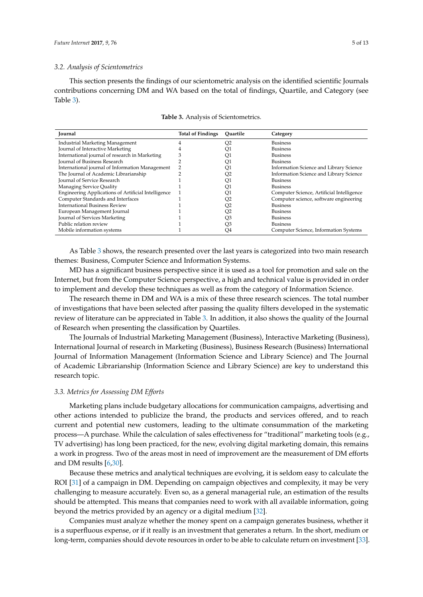# *3.2. Analysis of Scientometrics*

This section presents the findings of our scientometric analysis on the identified scientific Journals contributions concerning DM and WA based on the total of findings, Quartile, and Category (see Table [3\)](#page-4-0).

<span id="page-4-0"></span>

| <b>Journal</b>                                      | <b>Total of Findings</b> | Ouartile | Category                                  |
|-----------------------------------------------------|--------------------------|----------|-------------------------------------------|
| Industrial Marketing Management                     |                          | Q2       | <b>Business</b>                           |
| Journal of Interactive Marketing                    |                          | Q1       | <b>Business</b>                           |
| International journal of research in Marketing      |                          | Q1       | <b>Business</b>                           |
| Journal of Business Research                        |                          | Q1       | <b>Business</b>                           |
| International journal of Information Management     |                          | Q1       | Information Science and Library Science   |
| The Journal of Academic Librarianship               |                          | Q2       | Information Science and Library Science   |
| Journal of Service Research                         |                          | Q1       | <b>Business</b>                           |
| Managing Service Quality                            |                          | Q1       | <b>Business</b>                           |
| Engineering Applications of Artificial Intelligence |                          | Q1       | Computer Science, Artificial Intelligence |
| Computer Standards and Interfaces                   |                          | Q2       | Computer science, software engineering    |
| <b>International Business Review</b>                |                          | Q2       | <b>Business</b>                           |
| European Management Journal                         |                          | Q2       | <b>Business</b>                           |
| Journal of Services Marketing                       |                          | O3       | <b>Business</b>                           |
| Public relation review                              |                          | O3       | <b>Business</b>                           |
| Mobile information systems                          |                          | Q4       | Computer Science, Information Systems     |

**Table 3.** Analysis of Scientometrics.

As Table [3](#page-4-0) shows, the research presented over the last years is categorized into two main research themes: Business, Computer Science and Information Systems.

MD has a significant business perspective since it is used as a tool for promotion and sale on the Internet, but from the Computer Science perspective, a high and technical value is provided in order to implement and develop these techniques as well as from the category of Information Science.

The research theme in DM and WA is a mix of these three research sciences. The total number of investigations that have been selected after passing the quality filters developed in the systematic review of literature can be appreciated in Table [3.](#page-4-0) In addition, it also shows the quality of the Journal of Research when presenting the classification by Quartiles.

The Journals of Industrial Marketing Management (Business), Interactive Marketing (Business), International Journal of research in Marketing (Business), Business Research (Business) International Journal of Information Management (Information Science and Library Science) and The Journal of Academic Librarianship (Information Science and Library Science) are key to understand this research topic.

# *3.3. Metrics for Assessing DM Efforts*

Marketing plans include budgetary allocations for communication campaigns, advertising and other actions intended to publicize the brand, the products and services offered, and to reach current and potential new customers, leading to the ultimate consummation of the marketing process—A purchase. While the calculation of sales effectiveness for "traditional" marketing tools (e.g., TV advertising) has long been practiced, for the new, evolving digital marketing domain, this remains a work in progress. Two of the areas most in need of improvement are the measurement of DM efforts and DM results [\[6](#page-10-5)[,30\]](#page-11-14).

Because these metrics and analytical techniques are evolving, it is seldom easy to calculate the ROI [\[31\]](#page-11-15) of a campaign in DM. Depending on campaign objectives and complexity, it may be very challenging to measure accurately. Even so, as a general managerial rule, an estimation of the results should be attempted. This means that companies need to work with all available information, going beyond the metrics provided by an agency or a digital medium [\[32\]](#page-11-16).

Companies must analyze whether the money spent on a campaign generates business, whether it is a superfluous expense, or if it really is an investment that generates a return. In the short, medium or long-term, companies should devote resources in order to be able to calculate return on investment [\[33\]](#page-11-17).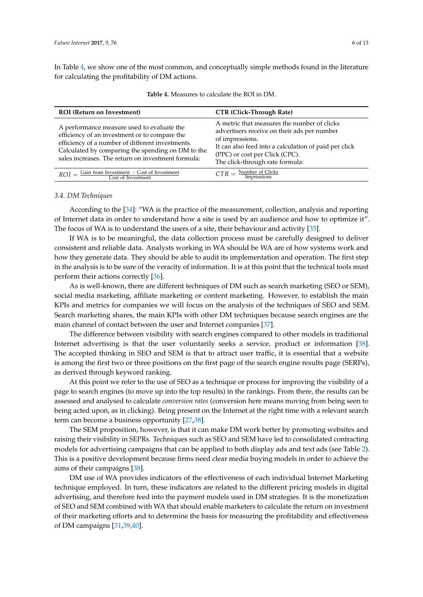<span id="page-5-0"></span>In Table [4,](#page-5-0) we show one of the most common, and conceptually simple methods found in the literature for calculating the profitability of DM actions.

| <b>ROI</b> (Return on Investment)                                                                                                                                                                                                                          | <b>CTR (Click-Through Rate)</b>                                                                                                                                                                                                             |
|------------------------------------------------------------------------------------------------------------------------------------------------------------------------------------------------------------------------------------------------------------|---------------------------------------------------------------------------------------------------------------------------------------------------------------------------------------------------------------------------------------------|
| A performance measure used to evaluate the<br>efficiency of an investment or to compare the<br>efficiency of a number of different investments.<br>Calculated by comparing the spending on DM to the<br>sales increases. The return on investment formula: | A metric that measures the number of clicks<br>advertisers receive on their ads per number<br>of impressions.<br>It can also feed into a calculation of paid per click<br>(PPC) or cost per Click (CPC).<br>The click-through rate formula: |
| $ROI = \frac{Gain from Investment - Cost of Investment}{Cost of Investment}$                                                                                                                                                                               | $CTR = \frac{Number of Clicks}{Impressions}$                                                                                                                                                                                                |

**Table 4.** Measures to calculate the ROI in DM.

# *3.4. DM Techniques*

According to the [\[34\]](#page-11-18): "WA is the practice of the measurement, collection, analysis and reporting of Internet data in order to understand how a site is used by an audience and how to optimize it". The focus of WA is to understand the users of a site, their behaviour and activity [\[35\]](#page-11-19).

If WA is to be meaningful, the data collection process must be carefully designed to deliver consistent and reliable data. Analysts working in WA should be WA are of how systems work and how they generate data. They should be able to audit its implementation and operation. The first step in the analysis is to be sure of the veracity of information. It is at this point that the technical tools must perform their actions correctly [\[36\]](#page-11-20).

As is well-known, there are different techniques of DM such as search marketing (SEO or SEM), social media marketing, affiliate marketing or content marketing. However, to establish the main KPIs and metrics for companies we will focus on the analysis of the techniques of SEO and SEM. Search marketing shares, the main KPIs with other DM techniques because search engines are the main channel of contact between the user and Internet companies [\[37\]](#page-11-21).

The difference between visibility with search engines compared to other models in traditional Internet advertising is that the user voluntarily seeks a service, product or information [\[38\]](#page-11-22). The accepted thinking in SEO and SEM is that to attract user traffic, it is essential that a website is among the first two or three positions on the first page of the search engine results page (SERPs), as derived through keyword ranking.

At this point we refer to the use of SEO as a technique or process for improving the visibility of a page to search engines (to move up into the top results) in the rankings. From there, the results can be assessed and analysed to calculate *conversion rates* (conversion here means moving from being seen to being acted upon, as in clicking). Being present on the Internet at the right time with a relevant search term can become a business opportunity [\[27,](#page-11-11)[38\]](#page-11-22).

The SEM proposition, however, is that it can make DM work better by promoting websites and raising their visibility in SEPRs. Techniques such as SEO and SEM have led to consolidated contracting models for advertising campaigns that can be applied to both display ads and text ads (see Table [2\)](#page-3-0). This is a positive development because firms need clear media buying models in order to achieve the aims of their campaigns [\[38\]](#page-11-22).

DM use of WA provides indicators of the effectiveness of each individual Internet Marketing technique employed. In turn, these indicators are related to the different pricing models in digital advertising, and therefore feed into the payment models used in DM strategies. It is the monetization of SEO and SEM combined with WA that should enable marketers to calculate the return on investment of their marketing efforts and to determine the basis for measuring the profitability and effectiveness of DM campaigns [\[31](#page-11-15)[,39](#page-12-0)[,40\]](#page-12-1).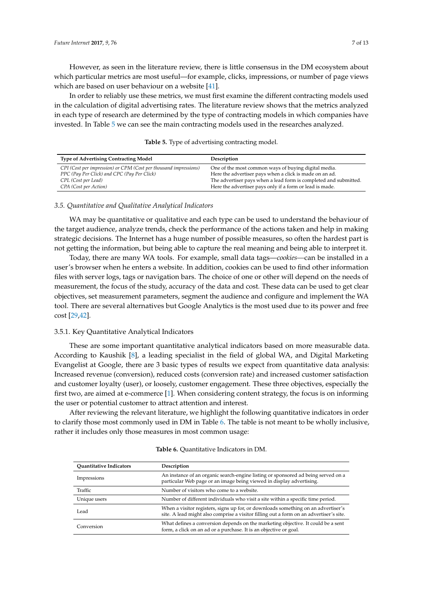However, as seen in the literature review, there is little consensus in the DM ecosystem about which particular metrics are most useful—for example, clicks, impressions, or number of page views which are based on user behaviour on a website [\[41\]](#page-12-2).

In order to reliably use these metrics, we must first examine the different contracting models used in the calculation of digital advertising rates. The literature review shows that the metrics analyzed in each type of research are determined by the type of contracting models in which companies have invested. In Table [5](#page-6-0) we can see the main contracting models used in the researches analyzed.

<span id="page-6-0"></span>

| <b>Type of Advertising Contracting Model</b>                                                                                                                    | Description                                                                                                                                                                                                                                     |
|-----------------------------------------------------------------------------------------------------------------------------------------------------------------|-------------------------------------------------------------------------------------------------------------------------------------------------------------------------------------------------------------------------------------------------|
| CPI (Cost per impression) or CPM (Cost per thousand impressions)<br>PPC (Pay Per Click) and CPC (Pay Per Click)<br>CPL (Cost per Lead)<br>CPA (Cost per Action) | One of the most common ways of buying digital media.<br>Here the advertiser pays when a click is made on an ad.<br>The advertiser pays when a lead form is completed and submitted.<br>Here the advertiser pays only if a form or lead is made. |

**Table 5.** Type of advertising contracting model.

# *3.5. Quantitative and Qualitative Analytical Indicators*

WA may be quantitative or qualitative and each type can be used to understand the behaviour of the target audience, analyze trends, check the performance of the actions taken and help in making strategic decisions. The Internet has a huge number of possible measures, so often the hardest part is not getting the information, but being able to capture the real meaning and being able to interpret it.

Today, there are many WA tools. For example, small data tags—*cookies—*can be installed in a user's browser when he enters a website. In addition, cookies can be used to find other information files with server logs, tags or navigation bars. The choice of one or other will depend on the needs of measurement, the focus of the study, accuracy of the data and cost. These data can be used to get clear objectives, set measurement parameters, segment the audience and configure and implement the WA tool. There are several alternatives but Google Analytics is the most used due to its power and free cost [\[29,](#page-11-13)[42\]](#page-12-3).

### 3.5.1. Key Quantitative Analytical Indicators

These are some important quantitative analytical indicators based on more measurable data. According to Kaushik [\[8\]](#page-10-7), a leading specialist in the field of global WA, and Digital Marketing Evangelist at Google, there are 3 basic types of results we expect from quantitative data analysis: Increased revenue (conversion), reduced costs (conversion rate) and increased customer satisfaction and customer loyalty (user), or loosely, customer engagement. These three objectives, especially the first two, are aimed at e-commerce [\[1\]](#page-10-0). When considering content strategy, the focus is on informing the user or potential customer to attract attention and interest.

After reviewing the relevant literature, we highlight the following quantitative indicators in order to clarify those most commonly used in DM in Table [6.](#page-6-1) The table is not meant to be wholly inclusive, rather it includes only those measures in most common usage:

<span id="page-6-1"></span>

| <b>Ouantitative Indicators</b> | Description                                                                                                                                                                 |
|--------------------------------|-----------------------------------------------------------------------------------------------------------------------------------------------------------------------------|
| Impressions                    | An instance of an organic search-engine listing or sponsored ad being served on a<br>particular Web page or an image being viewed in display advertising.                   |
| Traffic                        | Number of visitors who come to a website.                                                                                                                                   |
| Unique users                   | Number of different individuals who visit a site within a specific time period.                                                                                             |
| Lead                           | When a visitor registers, signs up for, or downloads something on an advertiser's<br>site. A lead might also comprise a visitor filling out a form on an advertiser's site. |
| Conversion                     | What defines a conversion depends on the marketing objective. It could be a sent<br>form, a click on an ad or a purchase. It is an objective or goal.                       |

| <b>Table 6.</b> Quantitative Indicators in DM. |  |  |  |
|------------------------------------------------|--|--|--|
|------------------------------------------------|--|--|--|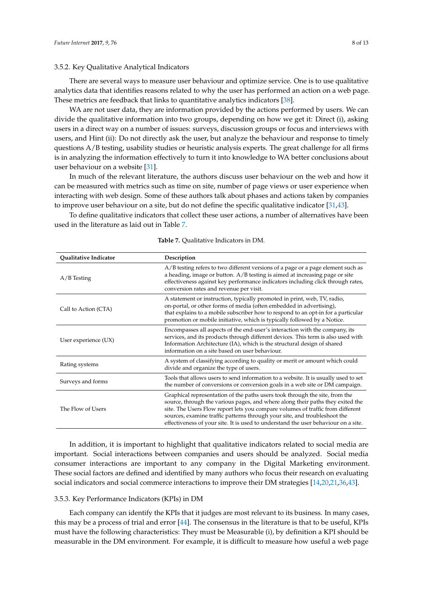# 3.5.2. Key Qualitative Analytical Indicators

There are several ways to measure user behaviour and optimize service. One is to use qualitative analytics data that identifies reasons related to why the user has performed an action on a web page. These metrics are feedback that links to quantitative analytics indicators [\[38\]](#page-11-22).

WA are not user data, they are information provided by the actions performed by users. We can divide the qualitative information into two groups, depending on how we get it: Direct (i), asking users in a direct way on a number of issues: surveys, discussion groups or focus and interviews with users, and Hint (ii): Do not directly ask the user, but analyze the behaviour and response to timely questions A/B testing, usability studies or heuristic analysis experts. The great challenge for all firms is in analyzing the information effectively to turn it into knowledge to WA better conclusions about user behaviour on a website [\[31\]](#page-11-15).

In much of the relevant literature, the authors discuss user behaviour on the web and how it can be measured with metrics such as time on site, number of page views or user experience when interacting with web design. Some of these authors talk about phases and actions taken by companies to improve user behaviour on a site, but do not define the specific qualitative indicator [\[31,](#page-11-15)[43\]](#page-12-4).

<span id="page-7-0"></span>To define qualitative indicators that collect these user actions, a number of alternatives have been used in the literature as laid out in Table [7.](#page-7-0)

| Qualitative Indicator | Description                                                                                                                                                                                                                                                                                                                                                                                                        |
|-----------------------|--------------------------------------------------------------------------------------------------------------------------------------------------------------------------------------------------------------------------------------------------------------------------------------------------------------------------------------------------------------------------------------------------------------------|
| $A/B$ Testing         | A/B testing refers to two different versions of a page or a page element such as<br>a heading, image or button. A/B testing is aimed at increasing page or site<br>effectiveness against key performance indicators including click through rates,<br>conversion rates and revenue per visit.                                                                                                                      |
| Call to Action (CTA)  | A statement or instruction, typically promoted in print, web, TV, radio,<br>on-portal, or other forms of media (often embedded in advertising),<br>that explains to a mobile subscriber how to respond to an opt-in for a particular<br>promotion or mobile initiative, which is typically followed by a Notice.                                                                                                   |
| User experience (UX)  | Encompasses all aspects of the end-user's interaction with the company, its<br>services, and its products through different devices. This term is also used with<br>Information Architecture (IA), which is the structural design of shared<br>information on a site based on user behaviour.                                                                                                                      |
| Rating systems        | A system of classifying according to quality or merit or amount which could<br>divide and organize the type of users.                                                                                                                                                                                                                                                                                              |
| Surveys and forms     | Tools that allows users to send information to a website. It is usually used to set<br>the number of conversions or conversion goals in a web site or DM campaign.                                                                                                                                                                                                                                                 |
| The Flow of Users     | Graphical representation of the paths users took through the site, from the<br>source, through the various pages, and where along their paths they exited the<br>site. The Users Flow report lets you compare volumes of traffic from different<br>sources, examine traffic patterns through your site, and troubleshoot the<br>effectiveness of your site. It is used to understand the user behaviour on a site. |

**Table 7.** Qualitative Indicators in DM.

In addition, it is important to highlight that qualitative indicators related to social media are important. Social interactions between companies and users should be analyzed. Social media consumer interactions are important to any company in the Digital Marketing environment. These social factors are defined and identified by many authors who focus their research on evaluating social indicators and social commerce interactions to improve their DM strategies [\[14,](#page-11-1)[20,](#page-11-4)[21,](#page-11-5)[36,](#page-11-20)[43\]](#page-12-4).

# 3.5.3. Key Performance Indicators (KPIs) in DM

Each company can identify the KPIs that it judges are most relevant to its business. In many cases, this may be a process of trial and error [\[44\]](#page-12-5). The consensus in the literature is that to be useful, KPIs must have the following characteristics: They must be Measurable (i), by definition a KPI should be measurable in the DM environment. For example, it is difficult to measure how useful a web page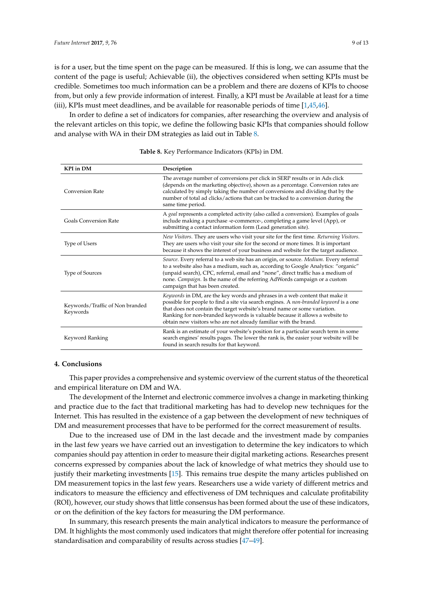is for a user, but the time spent on the page can be measured. If this is long, we can assume that the content of the page is useful; Achievable (ii), the objectives considered when setting KPIs must be credible. Sometimes too much information can be a problem and there are dozens of KPIs to choose from, but only a few provide information of interest. Finally, a KPI must be Available at least for a time (iii), KPIs must meet deadlines, and be available for reasonable periods of time [\[1](#page-10-0)[,45,](#page-12-6)[46\]](#page-12-7).

In order to define a set of indicators for companies, after researching the overview and analysis of the relevant articles on this topic, we define the following basic KPIs that companies should follow and analyse with WA in their DM strategies as laid out in Table [8.](#page-8-0)

<span id="page-8-0"></span>

| <b>KPI</b> in DM                            | Description                                                                                                                                                                                                                                                                                                                                                                                         |
|---------------------------------------------|-----------------------------------------------------------------------------------------------------------------------------------------------------------------------------------------------------------------------------------------------------------------------------------------------------------------------------------------------------------------------------------------------------|
| <b>Conversion Rate</b>                      | The average number of conversions per click in SERP results or in Ads click<br>(depends on the marketing objective), shown as a percentage. Conversion rates are<br>calculated by simply taking the number of conversions and dividing that by the<br>number of total ad clicks/actions that can be tracked to a conversion during the<br>same time period.                                         |
| <b>Goals Conversion Rate</b>                | A goal represents a completed activity (also called a conversion). Examples of goals<br>include making a purchase -e-commerce-, completing a game level (App), or<br>submitting a contact information form (Lead generation site).                                                                                                                                                                  |
| Type of Users                               | New Visitors. They are users who visit your site for the first time. Returning Visitors.<br>They are users who visit your site for the second or more times. It is important<br>because it shows the interest of your business and website for the target audience.                                                                                                                                 |
| <b>Type of Sources</b>                      | Source. Every referral to a web site has an origin, or source. Medium. Every referral<br>to a website also has a medium, such as, according to Google Analytics: "organic"<br>(unpaid search), CPC, referral, email and "none", direct traffic has a medium of<br>none. Campaign. Is the name of the referring AdWords campaign or a custom<br>campaign that has been created.                      |
| Keywords/Traffic of Non branded<br>Keywords | Keywords in DM, are the key words and phrases in a web content that make it<br>possible for people to find a site via search engines. A non-branded keyword is a one<br>that does not contain the target website's brand name or some variation.<br>Ranking for non-branded keywords is valuable because it allows a website to<br>obtain new visitors who are not already familiar with the brand. |
| Keyword Ranking                             | Rank is an estimate of your website's position for a particular search term in some<br>search engines' results pages. The lower the rank is, the easier your website will be<br>found in search results for that keyword.                                                                                                                                                                           |

#### **Table 8.** Key Performance Indicators (KPIs) in DM.

# **4. Conclusions**

This paper provides a comprehensive and systemic overview of the current status of the theoretical and empirical literature on DM and WA.

The development of the Internet and electronic commerce involves a change in marketing thinking and practice due to the fact that traditional marketing has had to develop new techniques for the Internet. This has resulted in the existence of a gap between the development of new techniques of DM and measurement processes that have to be performed for the correct measurement of results.

Due to the increased use of DM in the last decade and the investment made by companies in the last few years we have carried out an investigation to determine the key indicators to which companies should pay attention in order to measure their digital marketing actions. Researches present concerns expressed by companies about the lack of knowledge of what metrics they should use to justify their marketing investments [\[15\]](#page-11-23). This remains true despite the many articles published on DM measurement topics in the last few years. Researchers use a wide variety of different metrics and indicators to measure the efficiency and effectiveness of DM techniques and calculate profitability (ROI), however, our study shows that little consensus has been formed about the use of these indicators, or on the definition of the key factors for measuring the DM performance.

In summary, this research presents the main analytical indicators to measure the performance of DM. It highlights the most commonly used indicators that might therefore offer potential for increasing standardisation and comparability of results across studies [\[47–](#page-12-8)[49\]](#page-12-9).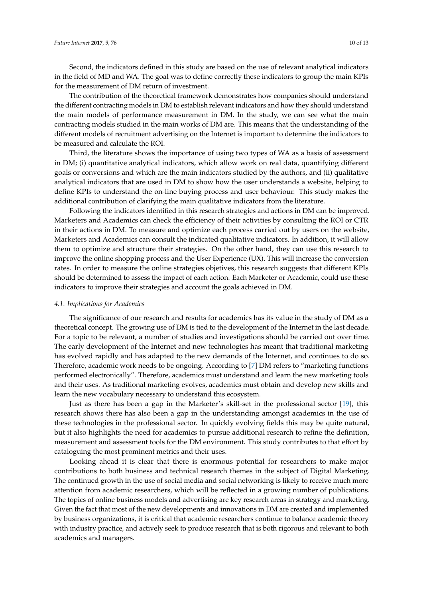Second, the indicators defined in this study are based on the use of relevant analytical indicators in the field of MD and WA. The goal was to define correctly these indicators to group the main KPIs for the measurement of DM return of investment.

The contribution of the theoretical framework demonstrates how companies should understand the different contracting models in DM to establish relevant indicators and how they should understand the main models of performance measurement in DM. In the study, we can see what the main contracting models studied in the main works of DM are. This means that the understanding of the different models of recruitment advertising on the Internet is important to determine the indicators to be measured and calculate the ROI.

Third, the literature shows the importance of using two types of WA as a basis of assessment in DM; (i) quantitative analytical indicators, which allow work on real data, quantifying different goals or conversions and which are the main indicators studied by the authors, and (ii) qualitative analytical indicators that are used in DM to show how the user understands a website, helping to define KPIs to understand the on-line buying process and user behaviour. This study makes the additional contribution of clarifying the main qualitative indicators from the literature.

Following the indicators identified in this research strategies and actions in DM can be improved. Marketers and Academics can check the efficiency of their activities by consulting the ROI or CTR in their actions in DM. To measure and optimize each process carried out by users on the website, Marketers and Academics can consult the indicated qualitative indicators. In addition, it will allow them to optimize and structure their strategies. On the other hand, they can use this research to improve the online shopping process and the User Experience (UX). This will increase the conversion rates. In order to measure the online strategies objetives, this research suggests that different KPIs should be determined to assess the impact of each action. Each Marketer or Academic, could use these indicators to improve their strategies and account the goals achieved in DM.

#### *4.1. Implications for Academics*

The significance of our research and results for academics has its value in the study of DM as a theoretical concept. The growing use of DM is tied to the development of the Internet in the last decade. For a topic to be relevant, a number of studies and investigations should be carried out over time. The early development of the Internet and new technologies has meant that traditional marketing has evolved rapidly and has adapted to the new demands of the Internet, and continues to do so. Therefore, academic work needs to be ongoing. According to [\[7\]](#page-10-6) DM refers to "marketing functions performed electronically". Therefore, academics must understand and learn the new marketing tools and their uses. As traditional marketing evolves, academics must obtain and develop new skills and learn the new vocabulary necessary to understand this ecosystem.

Just as there has been a gap in the Marketer's skill-set in the professional sector [\[19\]](#page-11-24), this research shows there has also been a gap in the understanding amongst academics in the use of these technologies in the professional sector. In quickly evolving fields this may be quite natural, but it also highlights the need for academics to pursue additional research to refine the definition, measurement and assessment tools for the DM environment. This study contributes to that effort by cataloguing the most prominent metrics and their uses.

Looking ahead it is clear that there is enormous potential for researchers to make major contributions to both business and technical research themes in the subject of Digital Marketing. The continued growth in the use of social media and social networking is likely to receive much more attention from academic researchers, which will be reflected in a growing number of publications. The topics of online business models and advertising are key research areas in strategy and marketing. Given the fact that most of the new developments and innovations in DM are created and implemented by business organizations, it is critical that academic researchers continue to balance academic theory with industry practice, and actively seek to produce research that is both rigorous and relevant to both academics and managers.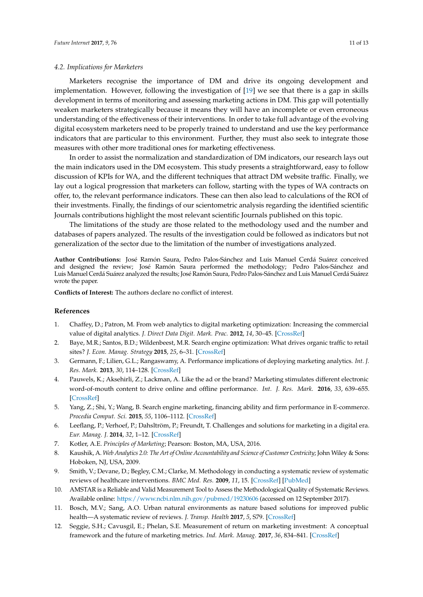# *4.2. Implications for Marketers*

Marketers recognise the importance of DM and drive its ongoing development and implementation. However, following the investigation of [\[19\]](#page-11-24) we see that there is a gap in skills development in terms of monitoring and assessing marketing actions in DM. This gap will potentially weaken marketers strategically because it means they will have an incomplete or even erroneous understanding of the effectiveness of their interventions. In order to take full advantage of the evolving digital ecosystem marketers need to be properly trained to understand and use the key performance indicators that are particular to this environment. Further, they must also seek to integrate those measures with other more traditional ones for marketing effectiveness.

In order to assist the normalization and standardization of DM indicators, our research lays out the main indicators used in the DM ecosystem. This study presents a straightforward, easy to follow discussion of KPIs for WA, and the different techniques that attract DM website traffic. Finally, we lay out a logical progression that marketers can follow, starting with the types of WA contracts on offer, to, the relevant performance indicators. These can then also lead to calculations of the ROI of their investments. Finally, the findings of our scientometric analysis regarding the identified scientific Journals contributions highlight the most relevant scientific Journals published on this topic.

The limitations of the study are those related to the methodology used and the number and databases of papers analyzed. The results of the investigation could be followed as indicators but not generalization of the sector due to the limitation of the number of investigations analyzed.

**Author Contributions:** José Ramón Saura, Pedro Palos-Sánchez and Luis Manuel Cerdá Suárez conceived and designed the review; José Ramón Saura performed the methodology; Pedro Palos-Sánchez and Luis Manuel Cerdá Suárez analyzed the results; José Ramón Saura, Pedro Palos-Sánchez and Luis Manuel Cerdá Suárez wrote the paper.

**Conflicts of Interest:** The authors declare no conflict of interest.

### **References**

- <span id="page-10-0"></span>1. Chaffey, D.; Patron, M. From web analytics to digital marketing optimization: Increasing the commercial value of digital analytics. *J. Direct Data Digit. Mark. Prac.* **2012**, *14*, 30–45. [\[CrossRef\]](http://dx.doi.org/10.1057/dddmp.2012.20)
- <span id="page-10-1"></span>2. Baye, M.R.; Santos, B.D.; Wildenbeest, M.R. Search engine optimization: What drives organic traffic to retail sites? *J. Econ. Manag. Strategy* **2015**, *25*, 6–31. [\[CrossRef\]](http://dx.doi.org/10.1111/jems.12141)
- <span id="page-10-2"></span>3. Germann, F.; Lilien, G.L.; Rangaswamy, A. Performance implications of deploying marketing analytics. *Int. J. Res. Mark.* **2013**, *30*, 114–128. [\[CrossRef\]](http://dx.doi.org/10.1016/j.ijresmar.2012.10.001)
- <span id="page-10-3"></span>4. Pauwels, K.; Aksehirli, Z.; Lackman, A. Like the ad or the brand? Marketing stimulates different electronic word-of-mouth content to drive online and offline performance. *Int. J. Res. Mark.* **2016**, *33*, 639–655. [\[CrossRef\]](http://dx.doi.org/10.1016/j.ijresmar.2016.01.005)
- <span id="page-10-4"></span>5. Yang, Z.; Shi, Y.; Wang, B. Search engine marketing, financing ability and firm performance in E-commerce. *Procedia Comput. Sci.* **2015**, *55*, 1106–1112. [\[CrossRef\]](http://dx.doi.org/10.1016/j.procs.2015.07.078)
- <span id="page-10-5"></span>6. Leeflang, P.; Verhoef, P.; Dahsltröm, P.; Freundt, T. Challenges and solutions for marketing in a digital era. *Eur. Manag. J.* **2014**, *32*, 1–12. [\[CrossRef\]](http://dx.doi.org/10.1016/j.emj.2013.12.001)
- <span id="page-10-6"></span>7. Kotler, A.E. *Principles of Marketing*; Pearson: Boston, MA, USA, 2016.
- <span id="page-10-7"></span>8. Kaushik, A. *Web Analytics 2.0: The Art of Online Accountability and Science of Customer Centricity*; John Wiley & Sons: Hoboken, NJ, USA, 2009.
- <span id="page-10-8"></span>9. Smith, V.; Devane, D.; Begley, C.M.; Clarke, M. Methodology in conducting a systematic review of systematic reviews of healthcare interventions. *BMC Med. Res.* **2009**, *11*, 15. [\[CrossRef\]](http://dx.doi.org/10.1186/1471-2288-11-15) [\[PubMed\]](http://www.ncbi.nlm.nih.gov/pubmed/21291558)
- <span id="page-10-9"></span>10. AMSTAR is a Reliable and Valid Measurement Tool to Assess the Methodological Quality of Systematic Reviews. Available online: <https://www.ncbi.nlm.nih.gov/pubmed/19230606> (accessed on 12 September 2017).
- <span id="page-10-10"></span>11. Bosch, M.V.; Sang, A.O. Urban natural environments as nature based solutions for improved public health—A systematic review of reviews. *J. Transp. Health* **2017**, *5*, S79. [\[CrossRef\]](http://dx.doi.org/10.1016/j.jth.2017.05.230)
- <span id="page-10-11"></span>12. Seggie, S.H.; Cavusgil, E.; Phelan, S.E. Measurement of return on marketing investment: A conceptual framework and the future of marketing metrics. *Ind. Mark. Manag.* **2017**, *36*, 834–841. [\[CrossRef\]](http://dx.doi.org/10.1016/j.indmarman.2006.11.001)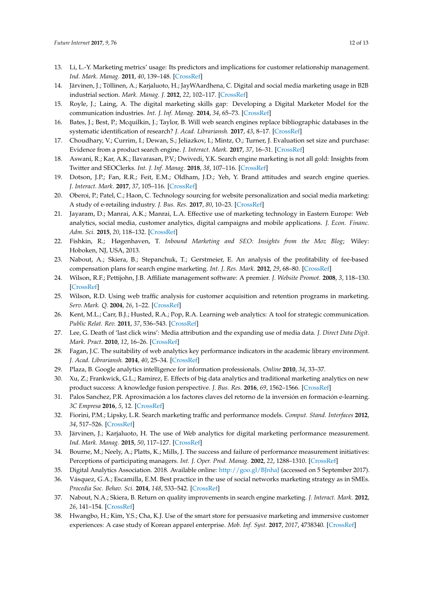- <span id="page-11-0"></span>13. Li, L.-Y. Marketing metrics' usage: Its predictors and implications for customer relationship management. *Ind. Mark. Manag.* **2011**, *40*, 139–148. [\[CrossRef\]](http://dx.doi.org/10.1016/j.indmarman.2010.09.002)
- <span id="page-11-1"></span>14. Järvinen, J.; Töllinen, A.; Karjaluoto, H.; JayWAardhena, C. Digital and social media marketing usage in B2B industrial section. *Mark. Manag. J.* **2012**, *22*, 102–117. [\[CrossRef\]](http://dx.doi.org/10.1016/j.indmarman.2011.09.00)
- <span id="page-11-23"></span>15. Royle, J.; Laing, A. The digital marketing skills gap: Developing a Digital Marketer Model for the communication industries. *Int. J. Inf. Manag.* **2014**, *34*, 65–73. [\[CrossRef\]](http://dx.doi.org/10.1016/j.ijinfomgt.2013.11.008)
- 16. Bates, J.; Best, P.; Mcquilkin, J.; Taylor, B. Will web search engines replace bibliographic databases in the systematic identification of research? *J. Acad. Librariansh.* **2017**, *43*, 8–17. [\[CrossRef\]](http://dx.doi.org/10.1016/j.acalib.2016.11.003)
- <span id="page-11-2"></span>17. Choudhary, V.; Currim, I.; Dewan, S.; Jeliazkov, I.; Mintz, O.; Turner, J. Evaluation set size and purchase: Evidence from a product search engine. *J. Interact. Mark.* **2017**, *37*, 16–31. [\[CrossRef\]](http://dx.doi.org/10.1016/j.intmar.2016.07.003)
- <span id="page-11-3"></span>18. Aswani, R.; Kar, A.K.; Ilavarasan, P.V.; Dwivedi, Y.K. Search engine marketing is not all gold: Insights from Twitter and SEOClerks. *Int. J. Inf. Manag.* **2018**, *38*, 107–116. [\[CrossRef\]](http://dx.doi.org/10.1016/j.ijinfomgt.2017.07.005)
- <span id="page-11-24"></span>19. Dotson, J.P.; Fan, R.R.; Feit, E.M.; Oldham, J.D.; Yeh, Y. Brand attitudes and search engine queries. *J. Interact. Mark.* **2017**, *37*, 105–116. [\[CrossRef\]](http://dx.doi.org/10.1016/j.intmar.2016.10.002)
- <span id="page-11-4"></span>20. Oberoi, P.; Patel, C.; Haon, C. Technology sourcing for website personalization and social media marketing: A study of e-retailing industry. *J. Bus. Res.* **2017**, *80*, 10–23. [\[CrossRef\]](http://dx.doi.org/10.1016/j.jbusres.2017.06.005)
- <span id="page-11-5"></span>21. Jayaram, D.; Manrai, A.K.; Manrai, L.A. Effective use of marketing technology in Eastern Europe: Web analytics, social media, customer analytics, digital campaigns and mobile applications. *J. Econ. Financ. Adm. Sci.* **2015**, *20*, 118–132. [\[CrossRef\]](http://dx.doi.org/10.1016/j.jefas.2015.07.001)
- <span id="page-11-6"></span>22. Fishkin, R.; Høgenhaven, T. *Inbound Marketing and SEO: Insights from the Moz Blog*; Wiley: Hoboken, NJ, USA, 2013.
- <span id="page-11-7"></span>23. Nabout, A.; Skiera, B.; Stepanchuk, T.; Gerstmeier, E. An analysis of the profitability of fee-based compensation plans for search engine marketing. *Int. J. Res. Mark.* **2012**, *29*, 68–80. [\[CrossRef\]](http://dx.doi.org/10.1016/j.ijresmar.2011.07.002)
- <span id="page-11-8"></span>24. Wilson, R.F.; Pettijohn, J.B. Affiliate management software: A premier. *J. Website Promot.* **2008**, *3*, 118–130. [\[CrossRef\]](http://dx.doi.org/10.1080/15533610802052894)
- <span id="page-11-9"></span>25. Wilson, R.D. Using web traffic analysis for customer acquisition and retention programs in marketing. *Serv. Mark. Q.* **2004**, *26*, 1–22. [\[CrossRef\]](http://dx.doi.org/10.1300/J396v26n02_01)
- <span id="page-11-10"></span>26. Kent, M.L.; Carr, B.J.; Husted, R.A.; Pop, R.A. Learning web analytics: A tool for strategic communication. *Public Relat. Rev.* **2011**, *37*, 536–543. [\[CrossRef\]](http://dx.doi.org/10.1016/j.pubrev.2011.09.011)
- <span id="page-11-11"></span>27. Lee, G. Death of 'last click wins': Media attribution and the expanding use of media data. *J. Direct Data Digit. Mark. Pract.* **2010**, *12*, 16–26. [\[CrossRef\]](http://dx.doi.org/10.1057/dddmp.2010.14)
- <span id="page-11-12"></span>28. Fagan, J.C. The suitability of web analytics key performance indicators in the academic library environment. *J. Acad. Librariansh.* **2014**, *40*, 25–34. [\[CrossRef\]](http://dx.doi.org/10.1016/j.acalib.2013.06.005)
- <span id="page-11-13"></span>29. Plaza, B. Google analytics intelligence for information professionals. *Online* **2010**, *34*, 33–37.
- <span id="page-11-14"></span>30. Xu, Z.; Frankwick, G.L.; Ramirez, E. Effects of big data analytics and traditional marketing analytics on new product success: A knowledge fusion perspective. *J. Bus. Res.* **2016**, *69*, 1562–1566. [\[CrossRef\]](http://dx.doi.org/10.1016/j.jbusres.2015.10.017)
- <span id="page-11-15"></span>31. Palos Sanchez, P.R. Aproximación a los factores claves del retorno de la inversión en formación e-learning. *3C Empresa* **2016**, *5*, 12. [\[CrossRef\]](http://dx.doi.org/10.17993/3cemp.2016.050428.12-31)
- <span id="page-11-16"></span>32. Fiorini, P.M.; Lipsky, L.R. Search marketing traffic and performance models. *Comput. Stand. Interfaces* **2012**, *34*, 517–526. [\[CrossRef\]](http://dx.doi.org/10.1016/j.csi.2011.10.008)
- <span id="page-11-17"></span>33. Järvinen, J.; Karjaluoto, H. The use of Web analytics for digital marketing performance measurement. *Ind. Mark. Manag.* **2015**, *50*, 117–127. [\[CrossRef\]](http://dx.doi.org/10.1016/j.indmarman.2015.04.009)
- <span id="page-11-18"></span>34. Bourne, M.; Neely, A.; Platts, K.; Mills, J. The success and failure of performance measurement initiatives: Perceptions of participating managers. *Int. J. Oper. Prod. Manag.* **2002**, *22*, 1288–1310. [\[CrossRef\]](http://dx.doi.org/10.1108/01443570210450329)
- <span id="page-11-19"></span>35. Digital Analytics Association. 2018. Available online: <http://goo.gl/BJnhaJ> (accessed on 5 September 2017).
- <span id="page-11-20"></span>36. Vásquez, G.A.; Escamilla, E.M. Best practice in the use of social networks marketing strategy as in SMEs. *Procedia Soc. Behav. Sci.* **2014**, *148*, 533–542. [\[CrossRef\]](http://dx.doi.org/10.1016/j.sbspro.2014.07.076)
- <span id="page-11-21"></span>37. Nabout, N.A.; Skiera, B. Return on quality improvements in search engine marketing. *J. Interact. Mark.* **2012**, *26*, 141–154. [\[CrossRef\]](http://dx.doi.org/10.1016/j.intmar.2011.11.001)
- <span id="page-11-22"></span>38. Hwangbo, H.; Kim, Y.S.; Cha, K.J. Use of the smart store for persuasive marketing and immersive customer experiences: A case study of Korean apparel enterprise. *Mob. Inf. Syst.* **2017**, *2017*, 4738340. [\[CrossRef\]](http://dx.doi.org/10.1155/2017/4738340)